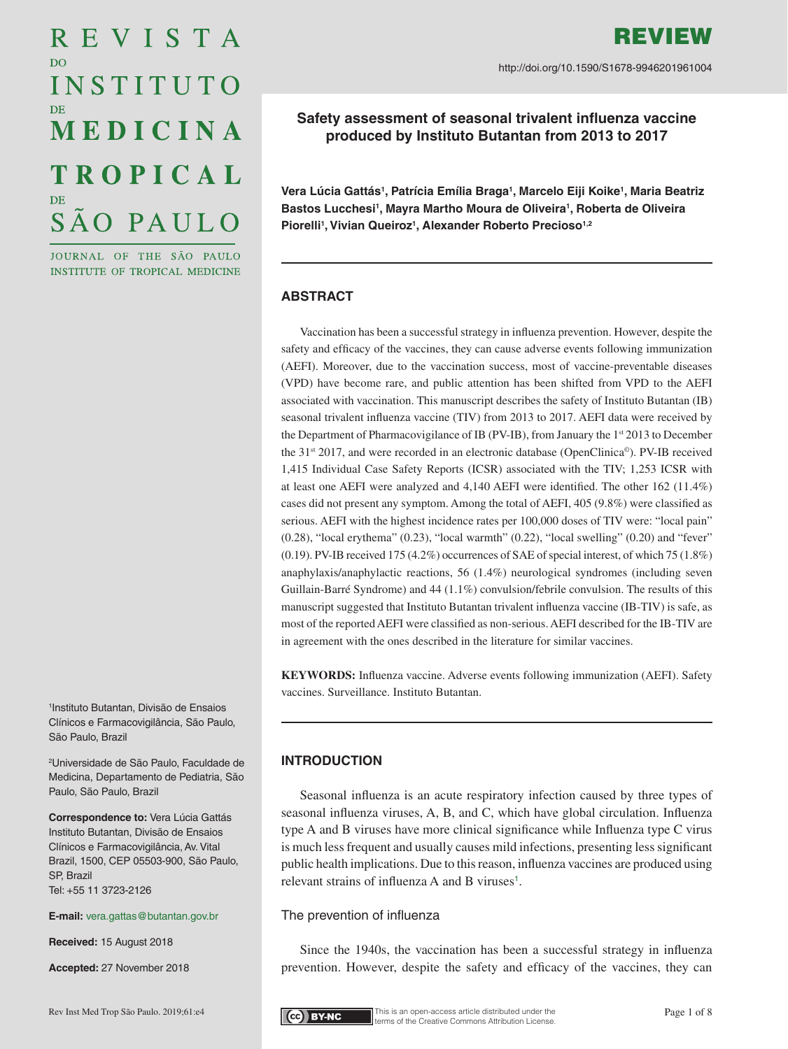# REVISTA D<sub>O</sub> INSTITUTO MEDICINA **TROPICAL** SÃO PAULO

JOURNAL OF THE SÃO PAULO INSTITUTE OF TROPICAL MEDICINE

1 Instituto Butantan, Divisão de Ensaios Clínicos e Farmacovigilância, São Paulo, São Paulo, Brazil

2 Universidade de São Paulo, Faculdade de Medicina, Departamento de Pediatria, São Paulo, São Paulo, Brazil

**Correspondence to:** Vera Lúcia Gattás Instituto Butantan, Divisão de Ensaios Clínicos e Farmacovigilância,Av. Vital Brazil, 1500, CEP 05503-900, São Paulo, SP, Brazil Tel: +55 11 3723-2126

**E-mail:** [vera.gattas@butantan.gov.br](mailto:vera.gattas%40butantan.gov.br?subject=)

**Received:** 15 August 2018

**Accepted:** 27 November 2018

**Vera Lúcia Gattás1 , Patrícia Emília Braga1 , Marcelo Eiji Koike1 , Maria Beatriz**  Bastos Lucchesi<sup>1</sup>, Mayra Martho Moura de Oliveira<sup>1</sup>, Roberta de Oliveira Piorelli<sup>1</sup>, Vivian Queiroz<sup>1</sup>, Alexander Roberto Precioso<sup>1,2</sup>

**Safety assessment of seasonal trivalent influenza vaccine produced by Instituto Butantan from 2013 to 2017**

# **ABSTRACT**

Vaccination has been a successful strategy in influenza prevention. However, despite the safety and efficacy of the vaccines, they can cause adverse events following immunization (AEFI). Moreover, due to the vaccination success, most of vaccine-preventable diseases (VPD) have become rare, and public attention has been shifted from VPD to the AEFI associated with vaccination. This manuscript describes the safety of Instituto Butantan (IB) seasonal trivalent influenza vaccine (TIV) from 2013 to 2017. AEFI data were received by the Department of Pharmacovigilance of IB (PV-IB), from January the 1<sup>st</sup> 2013 to December the 31<sup>st</sup> 2017, and were recorded in an electronic database (OpenClinica<sup>®</sup>). PV-IB received 1,415 Individual Case Safety Reports (ICSR) associated with the TIV; 1,253 ICSR with at least one AEFI were analyzed and 4,140 AEFI were identified. The other 162 (11.4%) cases did not present any symptom. Among the total of AEFI, 405 (9.8%) were classified as serious. AEFI with the highest incidence rates per 100,000 doses of TIV were: "local pain"  $(0.28)$ , "local erythema"  $(0.23)$ , "local warmth"  $(0.22)$ , "local swelling"  $(0.20)$  and "fever" (0.19). PV-IB received 175 (4.2%) occurrences of SAE of special interest, of which 75 (1.8%) anaphylaxis/anaphylactic reactions, 56 (1.4%) neurological syndromes (including seven Guillain-Barré Syndrome) and 44 (1.1%) convulsion/febrile convulsion. The results of this manuscript suggested that Instituto Butantan trivalent influenza vaccine (IB-TIV) is safe, as most of the reported AEFI were classified as non-serious. AEFI described for the IB-TIV are in agreement with the ones described in the literature for similar vaccines.

**KEYWORDS:** Influenza vaccine. Adverse events following immunization (AEFI). Safety vaccines. Surveillance. Instituto Butantan.

# **INTRODUCTION**

Seasonal influenza is an acute respiratory infection caused by three types of seasonal influenza viruses, A, B, and C, which have global circulation. Influenza type A and B viruses have more clinical significance while Influenza type C virus is much less frequent and usually causes mild infections, presenting less significant public health implications. Due to this reason, influenza vaccines are produced using relevant strains of influenza A and B viruses<sup>[1](#page-6-0)</sup>.

# <span id="page-0-0"></span>The prevention of influenza

Since the 1940s, the vaccination has been a successful strategy in influenza prevention. However, despite the safety and efficacy of the vaccines, they can

http://doi.org/10.1590/S1678-9946201961004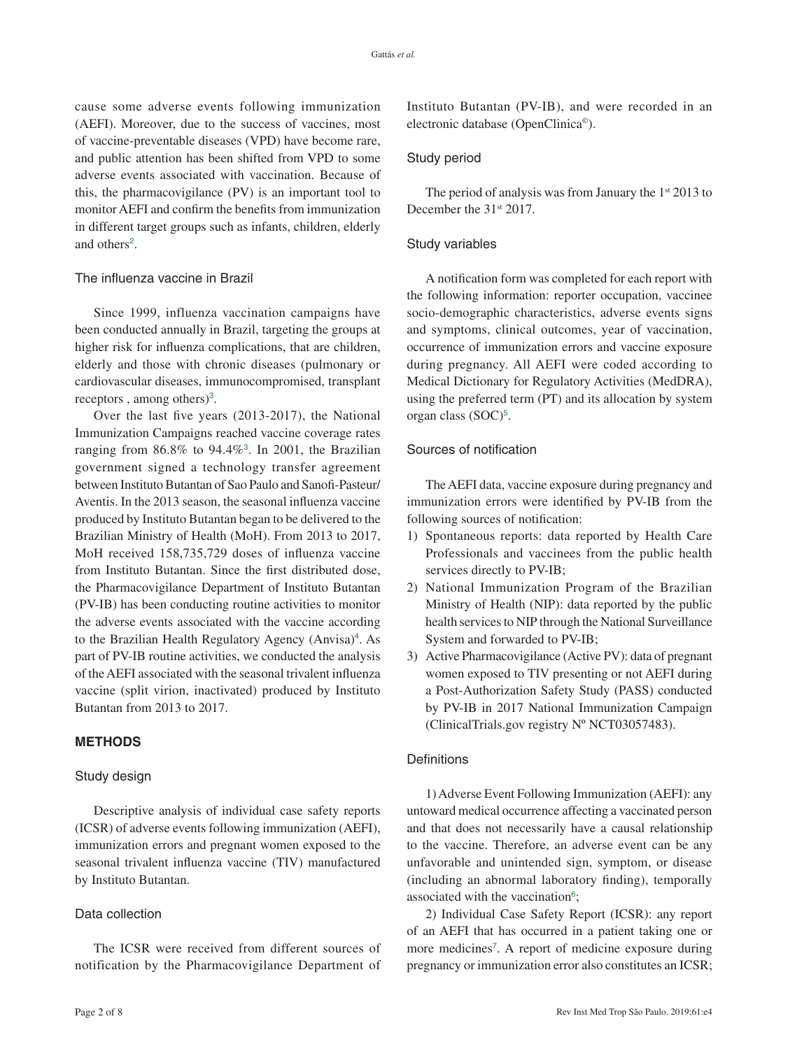cause some adverse events following immunization (AEFI). Moreover, due to the success of vaccines, most of vaccine-preventable diseases (VPD) have become rare, and public attention has been shifted from VPD to some adverse events associated with vaccination. Because of this, the pharmacovigilance (PV) is an important tool to monitor AEFI and confirm the benefits from immunization in different target groups such as infants, children, elderly and others<sup>[2](#page-6-0)</sup>.

# <span id="page-1-0"></span>The influenza vaccine in Brazil

Since 1999, influenza vaccination campaigns have been conducted annually in Brazil, targeting the groups at higher risk for influenza complications, that are children, elderly and those with chronic diseases (pulmonary or cardiovascular diseases, immunocompromised, transplant receptors, among others)<sup>[3](#page-6-0)</sup>.

<span id="page-1-1"></span>Over the last five years (2013-2017), the National Immunization Campaigns reached vaccine coverage rates ranging from  $86.8\%$  to  $94.4\%$ <sup>[3](#page-6-0)</sup>. In 2001, the Brazilian government signed a technology transfer agreement between Instituto Butantan of Sao Paulo and Sanofi-Pasteur/ Aventis. In the 2013 season, the seasonal influenza vaccine produced by Instituto Butantan began to be delivered to the Brazilian Ministry of Health (MoH). From 2013 to 2017, MoH received 158,735,729 doses of influenza vaccine from Instituto Butantan. Since the first distributed dose, the Pharmacovigilance Department of Instituto Butantan (PV-IB) has been conducting routine activities to monitor the adverse events associated with the vaccine according to the Brazilian Health Regulatory Agency (Anvisa)<sup>[4](#page-6-0)</sup>. As part of PV-IB routine activities, we conducted the analysis of the AEFI associated with the seasonal trivalent influenza vaccine (split virion, inactivated) produced by Instituto Butantan from 2013 to 2017.

# <span id="page-1-2"></span>**METHODS**

#### Study design

Descriptive analysis of individual case safety reports (ICSR) of adverse events following immunization (AEFI), immunization errors and pregnant women exposed to the seasonal trivalent influenza vaccine (TIV) manufactured by Instituto Butantan.

#### Data collection

The ICSR were received from different sources of notification by the Pharmacovigilance Department of Instituto Butantan (PV-IB), and were recorded in an electronic database (OpenClinica©).

## Study period

The period of analysis was from January the  $1<sup>st</sup> 2013$  to December the 31<sup>st</sup> 2017.

#### Study variables

A notification form was completed for each report with the following information: reporter occupation, vaccinee socio-demographic characteristics, adverse events signs and symptoms, clinical outcomes, year of vaccination, occurrence of immunization errors and vaccine exposure during pregnancy. All AEFI were coded according to Medical Dictionary for Regulatory Activities (MedDRA), using the preferred term (PT) and its allocation by system organ class (SOC)<sup>[5](#page-6-0)</sup>.

#### <span id="page-1-3"></span>Sources of notification

The AEFI data, vaccine exposure during pregnancy and immunization errors were identified by PV-IB from the following sources of notification:

- 1) Spontaneous reports: data reported by Health Care Professionals and vaccinees from the public health services directly to PV-IB;
- 2) National Immunization Program of the Brazilian Ministry of Health (NIP): data reported by the public health services to NIP through the National Surveillance System and forwarded to PV-IB;
- 3) Active Pharmacovigilance (Active PV): data of pregnant women exposed to TIV presenting or not AEFI during a Post-Authorization Safety Study (PASS) conducted by PV-IB in 2017 National Immunization Campaign (ClinicalTrials.gov registry Nº NCT03057483).

## **Definitions**

1) Adverse Event Following Immunization (AEFI): any untoward medical occurrence affecting a vaccinated person and that does not necessarily have a causal relationship to the vaccine. Therefore, an adverse event can be any unfavorable and unintended sign, symptom, or disease (including an abnormal laboratory finding), temporally associated with the vaccination<sup>[6](#page-6-0)</sup>;

<span id="page-1-5"></span><span id="page-1-4"></span>2) Individual Case Safety Report (ICSR): any report of an AEFI that has occurred in a patient taking one or more medicines<sup>[7](#page-6-0)</sup>. A report of medicine exposure during pregnancy or immunization error also constitutes an ICSR;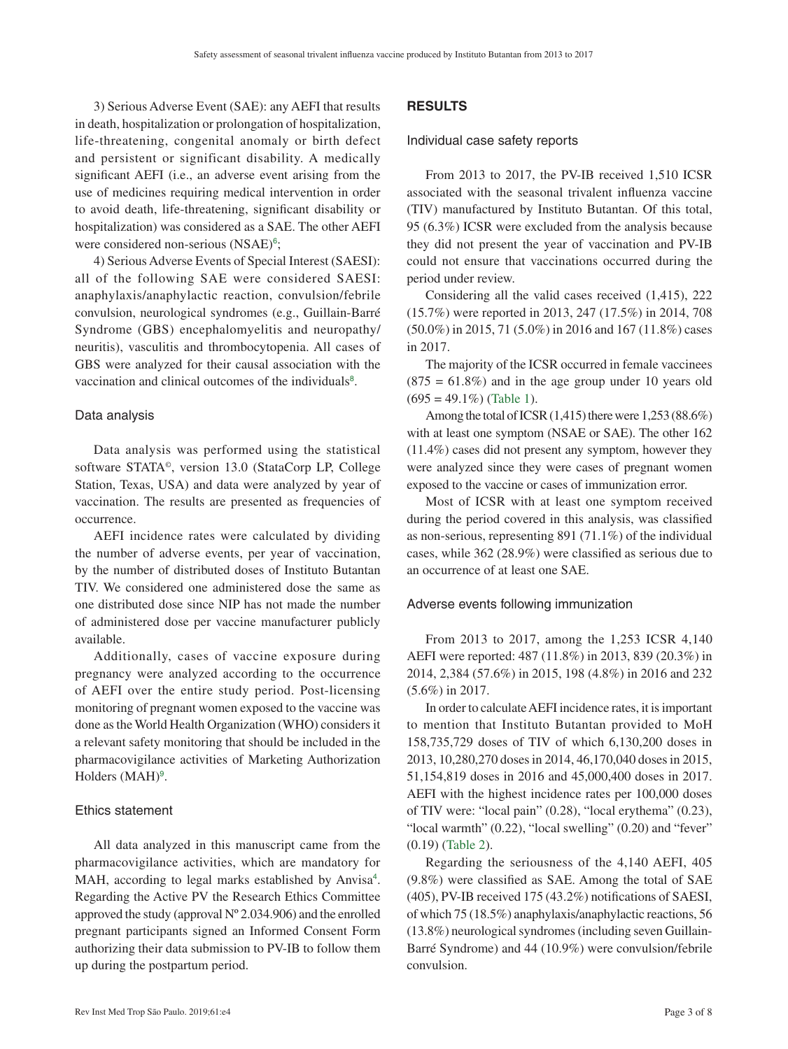3) Serious Adverse Event (SAE): any AEFI that results in death, hospitalization or prolongation of hospitalization, life-threatening, congenital anomaly or birth defect and persistent or significant disability. A medically significant AEFI (i.e., an adverse event arising from the use of medicines requiring medical intervention in order to avoid death, life-threatening, significant disability or hospitalization) was considered as a SAE. The other AEFI were considered non-serious (NSAE)<sup>[6](#page-6-0)</sup>;

4) Serious Adverse Events of Special Interest (SAESI): all of the following SAE were considered SAESI: anaphylaxis/anaphylactic reaction, convulsion/febrile convulsion, neurological syndromes (e.g., Guillain-Barré Syndrome (GBS) encephalomyelitis and neuropathy/ neuritis), vasculitis and thrombocytopenia. All cases of GBS were analyzed for their causal association with the vaccination and clinical outcomes of the individuals<sup>[8](#page-6-0)</sup>.

#### <span id="page-2-0"></span>Data analysis

Data analysis was performed using the statistical software STATA©, version 13.0 (StataCorp LP, College Station, Texas, USA) and data were analyzed by year of vaccination. The results are presented as frequencies of occurrence.

AEFI incidence rates were calculated by dividing the number of adverse events, per year of vaccination, by the number of distributed doses of Instituto Butantan TIV. We considered one administered dose the same as one distributed dose since NIP has not made the number of administered dose per vaccine manufacturer publicly available.

Additionally, cases of vaccine exposure during pregnancy were analyzed according to the occurrence of AEFI over the entire study period. Post-licensing monitoring of pregnant women exposed to the vaccine was done as the World Health Organization (WHO) considers it a relevant safety monitoring that should be included in the pharmacovigilance activities of Marketing Authorization Holders (MAH)<sup>[9](#page-6-0)</sup>.

#### <span id="page-2-1"></span>Ethics statement

All data analyzed in this manuscript came from the pharmacovigilance activities, which are mandatory for MAH, according to legal marks established by Anvisa<sup>[4](#page-6-0)</sup>. Regarding the Active PV the Research Ethics Committee approved the study (approval  $N^{\circ}$  2.034.906) and the enrolled pregnant participants signed an Informed Consent Form authorizing their data submission to PV-IB to follow them up during the postpartum period.

# **RESULTS**

Individual case safety reports

From 2013 to 2017, the PV-IB received 1,510 ICSR associated with the seasonal trivalent influenza vaccine (TIV) manufactured by Instituto Butantan. Of this total, 95 (6.3%) ICSR were excluded from the analysis because they did not present the year of vaccination and PV-IB could not ensure that vaccinations occurred during the period under review.

Considering all the valid cases received (1,415), 222 (15.7%) were reported in 2013, 247 (17.5%) in 2014, 708 (50.0%) in 2015, 71 (5.0%) in 2016 and 167 (11.8%) cases in 2017.

The majority of the ICSR occurred in female vaccinees  $(875 = 61.8\%)$  and in the age group under 10 years old  $(695 = 49.1\%)$  ([Table 1](#page-3-0)).

Among the total of ICSR (1,415) there were 1,253 (88.6%) with at least one symptom (NSAE or SAE). The other 162 (11.4%) cases did not present any symptom, however they were analyzed since they were cases of pregnant women exposed to the vaccine or cases of immunization error.

Most of ICSR with at least one symptom received during the period covered in this analysis, was classified as non-serious, representing 891 (71.1%) of the individual cases, while 362 (28.9%) were classified as serious due to an occurrence of at least one SAE.

#### Adverse events following immunization

From 2013 to 2017, among the 1,253 ICSR 4,140 AEFI were reported: 487 (11.8%) in 2013, 839 (20.3%) in 2014, 2,384 (57.6%) in 2015, 198 (4.8%) in 2016 and 232 (5.6%) in 2017.

In order to calculate AEFI incidence rates, it is important to mention that Instituto Butantan provided to MoH 158,735,729 doses of TIV of which 6,130,200 doses in 2013, 10,280,270 doses in 2014, 46,170,040 doses in 2015, 51,154,819 doses in 2016 and 45,000,400 doses in 2017. AEFI with the highest incidence rates per 100,000 doses of TIV were: "local pain" (0.28), "local erythema" (0.23), "local warmth" (0.22), "local swelling" (0.20) and "fever" (0.19) ([Table 2](#page-4-0)).

Regarding the seriousness of the 4,140 AEFI, 405 (9.8%) were classified as SAE. Among the total of SAE (405), PV-IB received 175 (43.2%) notifications of SAESI, of which 75 (18.5%) anaphylaxis/anaphylactic reactions, 56 (13.8%) neurological syndromes (including seven Guillain-Barré Syndrome) and 44 (10.9%) were convulsion/febrile convulsion.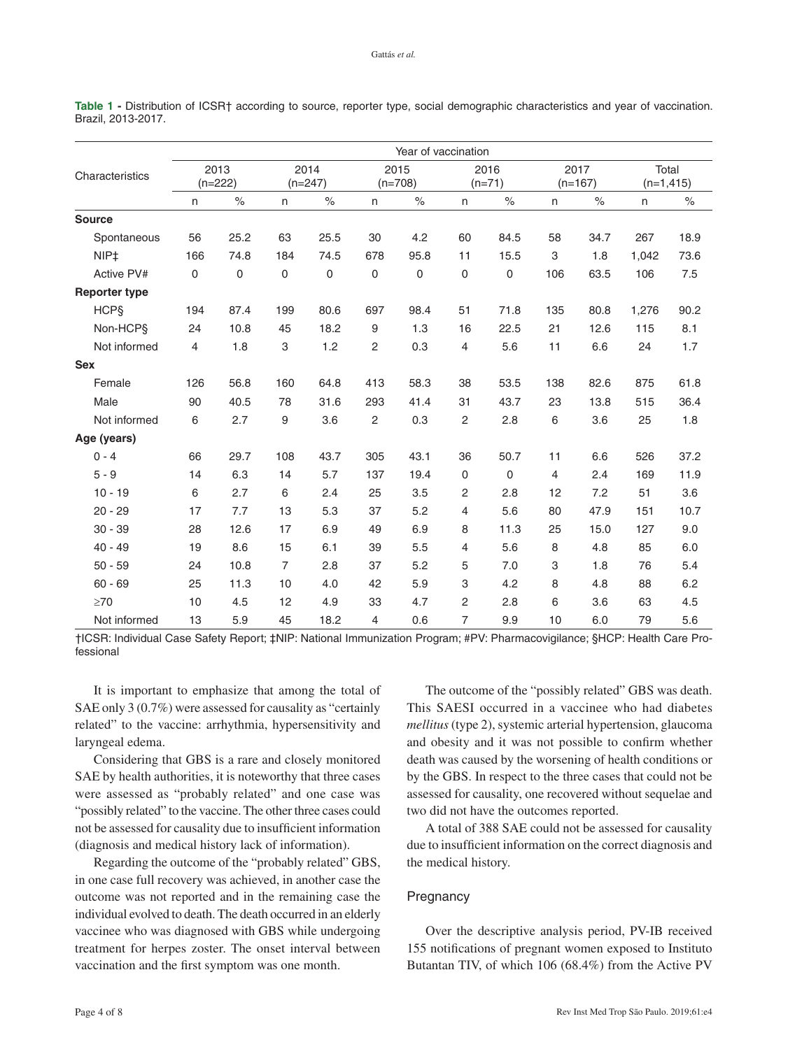| Characteristics      | Year of vaccination |             |                   |             |                   |      |                  |             |                   |      |                       |      |
|----------------------|---------------------|-------------|-------------------|-------------|-------------------|------|------------------|-------------|-------------------|------|-----------------------|------|
|                      | 2013<br>$(n=222)$   |             | 2014<br>$(n=247)$ |             | 2015<br>$(n=708)$ |      | 2016<br>$(n=71)$ |             | 2017<br>$(n=167)$ |      | Total<br>$(n=1, 415)$ |      |
|                      | $\mathsf{n}$        | $\%$        | $\mathsf{n}$      | $\%$        | n                 | $\%$ | $\mathsf{n}$     | $\%$        | n                 | $\%$ | $\mathsf{n}$          | $\%$ |
| <b>Source</b>        |                     |             |                   |             |                   |      |                  |             |                   |      |                       |      |
| Spontaneous          | 56                  | 25.2        | 63                | 25.5        | 30                | 4.2  | 60               | 84.5        | 58                | 34.7 | 267                   | 18.9 |
| NIP <sub>+</sub>     | 166                 | 74.8        | 184               | 74.5        | 678               | 95.8 | 11               | 15.5        | 3                 | 1.8  | 1,042                 | 73.6 |
| Active PV#           | 0                   | $\mathbf 0$ | $\mathbf 0$       | $\mathbf 0$ | 0                 | 0    | 0                | $\pmb{0}$   | 106               | 63.5 | 106                   | 7.5  |
| <b>Reporter type</b> |                     |             |                   |             |                   |      |                  |             |                   |      |                       |      |
| <b>HCPS</b>          | 194                 | 87.4        | 199               | 80.6        | 697               | 98.4 | 51               | 71.8        | 135               | 80.8 | 1,276                 | 90.2 |
| Non-HCP <sub>§</sub> | 24                  | 10.8        | 45                | 18.2        | 9                 | 1.3  | 16               | 22.5        | 21                | 12.6 | 115                   | 8.1  |
| Not informed         | 4                   | 1.8         | 3                 | 1.2         | 2                 | 0.3  | 4                | 5.6         | 11                | 6.6  | 24                    | 1.7  |
| <b>Sex</b>           |                     |             |                   |             |                   |      |                  |             |                   |      |                       |      |
| Female               | 126                 | 56.8        | 160               | 64.8        | 413               | 58.3 | 38               | 53.5        | 138               | 82.6 | 875                   | 61.8 |
| Male                 | 90                  | 40.5        | 78                | 31.6        | 293               | 41.4 | 31               | 43.7        | 23                | 13.8 | 515                   | 36.4 |
| Not informed         | 6                   | 2.7         | 9                 | 3.6         | $\overline{c}$    | 0.3  | $\overline{c}$   | 2.8         | 6                 | 3.6  | 25                    | 1.8  |
| Age (years)          |                     |             |                   |             |                   |      |                  |             |                   |      |                       |      |
| $0 - 4$              | 66                  | 29.7        | 108               | 43.7        | 305               | 43.1 | 36               | 50.7        | 11                | 6.6  | 526                   | 37.2 |
| $5 - 9$              | 14                  | 6.3         | 14                | 5.7         | 137               | 19.4 | $\mathbf 0$      | $\mathbf 0$ | 4                 | 2.4  | 169                   | 11.9 |
| $10 - 19$            | $\,6\,$             | 2.7         | 6                 | 2.4         | 25                | 3.5  | 2                | 2.8         | 12                | 7.2  | 51                    | 3.6  |
| $20 - 29$            | 17                  | 7.7         | 13                | 5.3         | 37                | 5.2  | 4                | 5.6         | 80                | 47.9 | 151                   | 10.7 |
| $30 - 39$            | 28                  | 12.6        | 17                | 6.9         | 49                | 6.9  | 8                | 11.3        | 25                | 15.0 | 127                   | 9.0  |
| $40 - 49$            | 19                  | 8.6         | 15                | 6.1         | 39                | 5.5  | 4                | 5.6         | 8                 | 4.8  | 85                    | 6.0  |
| $50 - 59$            | 24                  | 10.8        | $\overline{7}$    | 2.8         | 37                | 5.2  | 5                | 7.0         | 3                 | 1.8  | 76                    | 5.4  |
| $60 - 69$            | 25                  | 11.3        | 10                | 4.0         | 42                | 5.9  | 3                | 4.2         | 8                 | 4.8  | 88                    | 6.2  |
| $\geq 70$            | 10                  | 4.5         | 12                | 4.9         | 33                | 4.7  | 2                | 2.8         | 6                 | 3.6  | 63                    | 4.5  |
| Not informed         | 13                  | 5.9         | 45                | 18.2        | 4                 | 0.6  | 7                | 9.9         | 10                | 6.0  | 79                    | 5.6  |

<span id="page-3-0"></span>**Table 1 -** Distribution of ICSR† according to source, reporter type, social demographic characteristics and year of vaccination. Brazil, 2013-2017.

†ICSR: Individual Case Safety Report; ‡NIP: National Immunization Program; #PV: Pharmacovigilance; §HCP: Health Care Professional

It is important to emphasize that among the total of SAE only 3 (0.7%) were assessed for causality as "certainly related" to the vaccine: arrhythmia, hypersensitivity and laryngeal edema.

Considering that GBS is a rare and closely monitored SAE by health authorities, it is noteworthy that three cases were assessed as "probably related" and one case was "possibly related" to the vaccine. The other three cases could not be assessed for causality due to insufficient information (diagnosis and medical history lack of information).

Regarding the outcome of the "probably related" GBS, in one case full recovery was achieved, in another case the outcome was not reported and in the remaining case the individual evolved to death. The death occurred in an elderly vaccinee who was diagnosed with GBS while undergoing treatment for herpes zoster. The onset interval between vaccination and the first symptom was one month.

The outcome of the "possibly related" GBS was death. This SAESI occurred in a vaccinee who had diabetes *mellitus* (type 2), systemic arterial hypertension, glaucoma and obesity and it was not possible to confirm whether death was caused by the worsening of health conditions or by the GBS. In respect to the three cases that could not be assessed for causality, one recovered without sequelae and two did not have the outcomes reported.

A total of 388 SAE could not be assessed for causality due to insufficient information on the correct diagnosis and the medical history.

## **Pregnancy**

Over the descriptive analysis period, PV-IB received 155 notifications of pregnant women exposed to Instituto Butantan TIV, of which 106 (68.4%) from the Active PV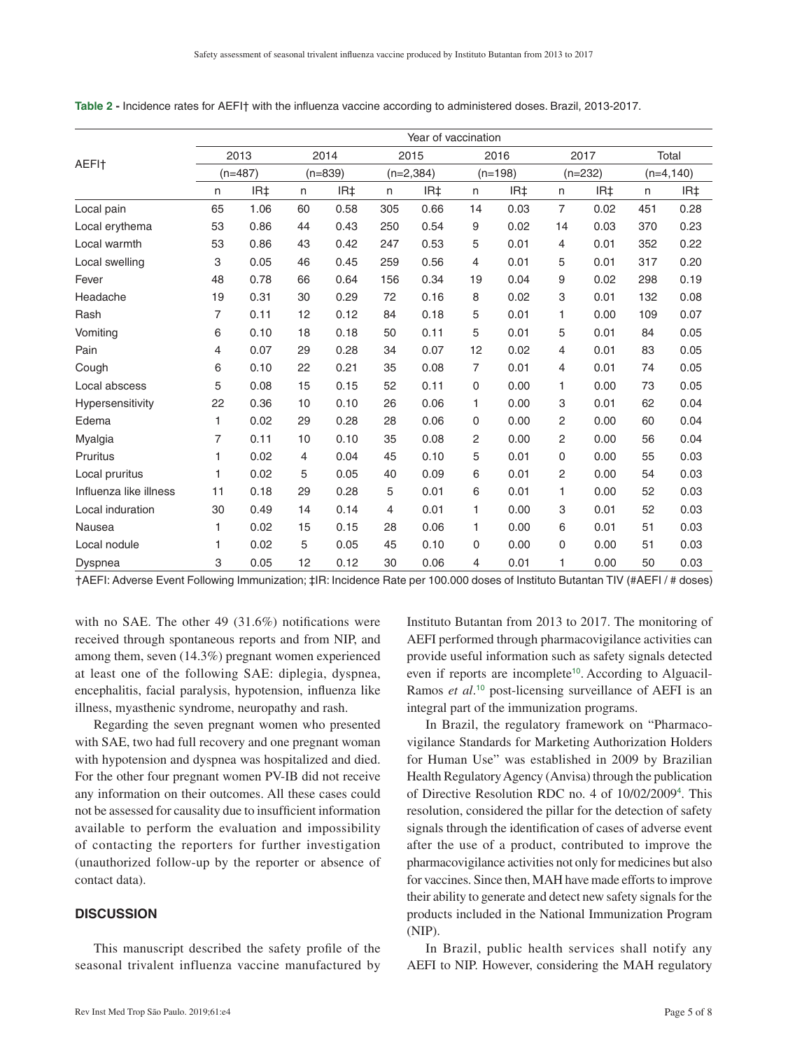|                        | Year of vaccination |      |                   |      |                     |      |                   |      |                   |      |                       |      |
|------------------------|---------------------|------|-------------------|------|---------------------|------|-------------------|------|-------------------|------|-----------------------|------|
|                        | 2013<br>$(n=487)$   |      | 2014<br>$(n=839)$ |      | 2015<br>$(n=2,384)$ |      | 2016<br>$(n=198)$ |      | 2017<br>$(n=232)$ |      | Total<br>$(n=4, 140)$ |      |
| AEFI <sup>+</sup>      |                     |      |                   |      |                     |      |                   |      |                   |      |                       |      |
|                        | $\mathsf{n}$        | IR‡  | n                 | IR‡  | n                   | IR‡  | n.                | IR‡  | n.                | IR‡  | n                     | IR‡  |
| Local pain             | 65                  | 1.06 | 60                | 0.58 | 305                 | 0.66 | 14                | 0.03 | $\overline{7}$    | 0.02 | 451                   | 0.28 |
| Local erythema         | 53                  | 0.86 | 44                | 0.43 | 250                 | 0.54 | 9                 | 0.02 | 14                | 0.03 | 370                   | 0.23 |
| Local warmth           | 53                  | 0.86 | 43                | 0.42 | 247                 | 0.53 | 5                 | 0.01 | $\overline{4}$    | 0.01 | 352                   | 0.22 |
| Local swelling         | 3                   | 0.05 | 46                | 0.45 | 259                 | 0.56 | 4                 | 0.01 | 5                 | 0.01 | 317                   | 0.20 |
| Fever                  | 48                  | 0.78 | 66                | 0.64 | 156                 | 0.34 | 19                | 0.04 | 9                 | 0.02 | 298                   | 0.19 |
| Headache               | 19                  | 0.31 | 30                | 0.29 | 72                  | 0.16 | 8                 | 0.02 | 3                 | 0.01 | 132                   | 0.08 |
| Rash                   | 7                   | 0.11 | 12                | 0.12 | 84                  | 0.18 | 5                 | 0.01 | 1                 | 0.00 | 109                   | 0.07 |
| Vomiting               | 6                   | 0.10 | 18                | 0.18 | 50                  | 0.11 | 5                 | 0.01 | 5                 | 0.01 | 84                    | 0.05 |
| Pain                   | 4                   | 0.07 | 29                | 0.28 | 34                  | 0.07 | 12                | 0.02 | 4                 | 0.01 | 83                    | 0.05 |
| Cough                  | 6                   | 0.10 | 22                | 0.21 | 35                  | 0.08 | 7                 | 0.01 | 4                 | 0.01 | 74                    | 0.05 |
| Local abscess          | 5                   | 0.08 | 15                | 0.15 | 52                  | 0.11 | 0                 | 0.00 | 1                 | 0.00 | 73                    | 0.05 |
| Hypersensitivity       | 22                  | 0.36 | 10                | 0.10 | 26                  | 0.06 | 1.                | 0.00 | 3                 | 0.01 | 62                    | 0.04 |
| Edema                  | 1                   | 0.02 | 29                | 0.28 | 28                  | 0.06 | 0                 | 0.00 | 2                 | 0.00 | 60                    | 0.04 |
| Myalgia                | 7                   | 0.11 | 10                | 0.10 | 35                  | 0.08 | 2                 | 0.00 | 2                 | 0.00 | 56                    | 0.04 |
| <b>Pruritus</b>        | 1                   | 0.02 | 4                 | 0.04 | 45                  | 0.10 | 5                 | 0.01 | $\mathbf 0$       | 0.00 | 55                    | 0.03 |
| Local pruritus         | 1                   | 0.02 | 5                 | 0.05 | 40                  | 0.09 | 6                 | 0.01 | 2                 | 0.00 | 54                    | 0.03 |
| Influenza like illness | 11                  | 0.18 | 29                | 0.28 | 5                   | 0.01 | 6                 | 0.01 | 1                 | 0.00 | 52                    | 0.03 |
| Local induration       | 30                  | 0.49 | 14                | 0.14 | 4                   | 0.01 | 1                 | 0.00 | 3                 | 0.01 | 52                    | 0.03 |
| Nausea                 | 1                   | 0.02 | 15                | 0.15 | 28                  | 0.06 | 1.                | 0.00 | 6                 | 0.01 | 51                    | 0.03 |
| Local nodule           | 1                   | 0.02 | 5                 | 0.05 | 45                  | 0.10 | 0                 | 0.00 | $\Omega$          | 0.00 | 51                    | 0.03 |
| Dyspnea                | 3                   | 0.05 | 12                | 0.12 | 30                  | 0.06 | 4                 | 0.01 | 1                 | 0.00 | 50                    | 0.03 |

<span id="page-4-0"></span>**Table 2 -** Incidence rates for AEFI† with the influenza vaccine according to administered doses. Brazil, 2013-2017.

†AEFI: Adverse Event Following Immunization; ‡IR: Incidence Rate per 100.000 doses of Instituto Butantan TIV (#AEFI / # doses)

with no SAE. The other 49 (31.6%) notifications were received through spontaneous reports and from NIP, and among them, seven (14.3%) pregnant women experienced at least one of the following SAE: diplegia, dyspnea, encephalitis, facial paralysis, hypotension, influenza like illness, myasthenic syndrome, neuropathy and rash.

Regarding the seven pregnant women who presented with SAE, two had full recovery and one pregnant woman with hypotension and dyspnea was hospitalized and died. For the other four pregnant women PV-IB did not receive any information on their outcomes. All these cases could not be assessed for causality due to insufficient information available to perform the evaluation and impossibility of contacting the reporters for further investigation (unauthorized follow-up by the reporter or absence of contact data).

# **DISCUSSION**

This manuscript described the safety profile of the seasonal trivalent influenza vaccine manufactured by <span id="page-4-1"></span>Instituto Butantan from 2013 to 2017. The monitoring of AEFI performed through pharmacovigilance activities can provide useful information such as safety signals detected even if reports are incomplete<sup>[10](#page-6-0)</sup>. According to Alguacil-Ramos *et al.*<sup>[10](#page-6-0)</sup> post-licensing surveillance of AEFI is an integral part of the immunization programs.

In Brazil, the regulatory framework on "Pharmacovigilance Standards for Marketing Authorization Holders for Human Use" was established in 2009 by Brazilian Health Regulatory Agency (Anvisa) through the publication of Directive Resolution RDC no. 4 of 10/02/2009[4](#page-6-0) . This resolution, considered the pillar for the detection of safety signals through the identification of cases of adverse event after the use of a product, contributed to improve the pharmacovigilance activities not only for medicines but also for vaccines. Since then, MAH have made efforts to improve their ability to generate and detect new safety signals for the products included in the National Immunization Program (NIP).

In Brazil, public health services shall notify any AEFI to NIP. However, considering the MAH regulatory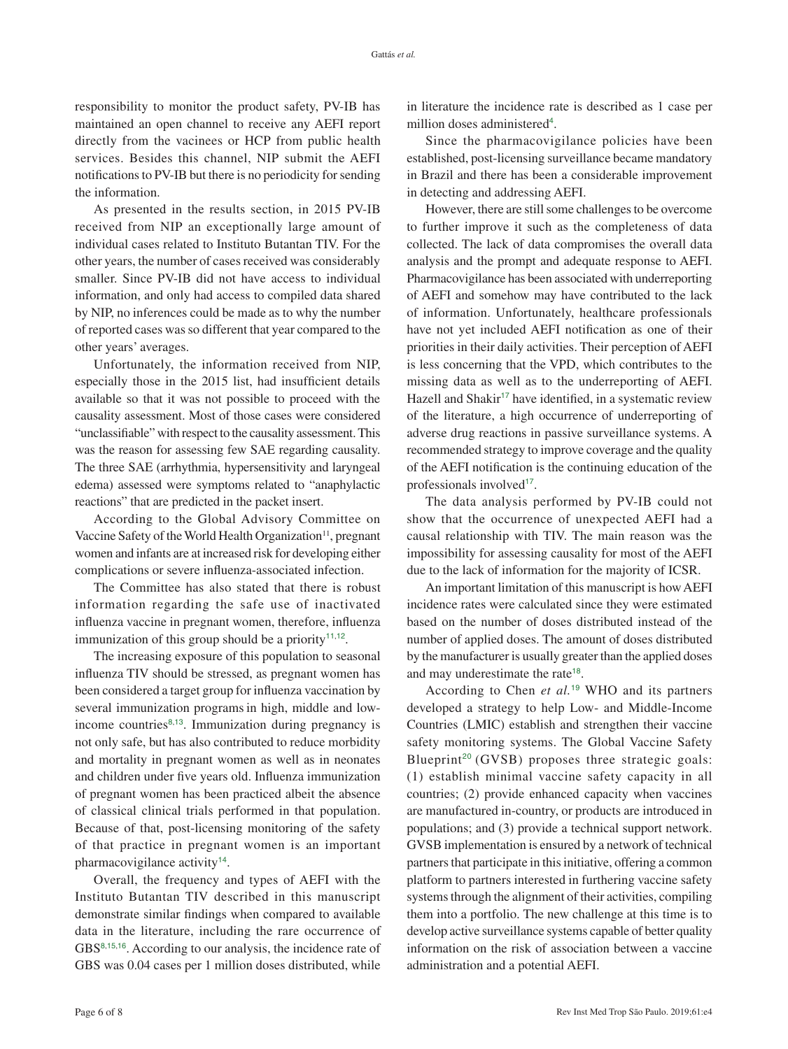responsibility to monitor the product safety, PV-IB has maintained an open channel to receive any AEFI report directly from the vacinees or HCP from public health services. Besides this channel, NIP submit the AEFI notifications to PV-IB but there is no periodicity for sending the information.

As presented in the results section, in 2015 PV-IB received from NIP an exceptionally large amount of individual cases related to Instituto Butantan TIV. For the other years, the number of cases received was considerably smaller. Since PV-IB did not have access to individual information, and only had access to compiled data shared by NIP, no inferences could be made as to why the number of reported cases was so different that year compared to the other years' averages.

Unfortunately, the information received from NIP, especially those in the 2015 list, had insufficient details available so that it was not possible to proceed with the causality assessment. Most of those cases were considered "unclassifiable" with respect to the causality assessment. This was the reason for assessing few SAE regarding causality. The three SAE (arrhythmia, hypersensitivity and laryngeal edema) assessed were symptoms related to "anaphylactic reactions" that are predicted in the packet insert.

<span id="page-5-0"></span>According to the Global Advisory Committee on Vaccine Safety of the World Health Organization<sup>11</sup>, pregnant women and infants are at increased risk for developing either complications or severe influenza-associated infection.

The Committee has also stated that there is robust information regarding the safe use of inactivated influenza vaccine in pregnant women, therefore, influenza immunization of this group should be a priority<sup>[11](#page-6-0),[12](#page-6-0)</sup>.

The increasing exposure of this population to seasonal influenza TIV should be stressed, as pregnant women has been considered a target group for influenza vaccination by several immunization programs in high, middle and lowincome countries $8,13$  $8,13$  $8,13$ . Immunization during pregnancy is not only safe, but has also contributed to reduce morbidity and mortality in pregnant women as well as in neonates and children under five years old. Influenza immunization of pregnant women has been practiced albeit the absence of classical clinical trials performed in that population. Because of that, post-licensing monitoring of the safety of that practice in pregnant women is an important pharmacovigilance activity<sup>[14](#page-6-0)</sup>.

<span id="page-5-5"></span><span id="page-5-4"></span><span id="page-5-3"></span>Overall, the frequency and types of AEFI with the Instituto Butantan TIV described in this manuscript demonstrate similar findings when compared to available data in the literature, including the rare occurrence of GBS[8](#page-6-0),[15](#page-7-0),[16](#page-7-0). According to our analysis, the incidence rate of GBS was 0.04 cases per 1 million doses distributed, while

in literature the incidence rate is described as 1 case per million doses administered<sup>[4](#page-6-0)</sup>.

Since the pharmacovigilance policies have been established, post-licensing surveillance became mandatory in Brazil and there has been a considerable improvement in detecting and addressing AEFI.

However, there are still some challenges to be overcome to further improve it such as the completeness of data collected. The lack of data compromises the overall data analysis and the prompt and adequate response to AEFI. Pharmacovigilance has been associated with underreporting of AEFI and somehow may have contributed to the lack of information. Unfortunately, healthcare professionals have not yet included AEFI notification as one of their priorities in their daily activities. Their perception of AEFI is less concerning that the VPD, which contributes to the missing data as well as to the underreporting of AEFI. Hazell and Shakir<sup>[17](#page-7-0)</sup> have identified, in a systematic review of the literature, a high occurrence of underreporting of adverse drug reactions in passive surveillance systems. A recommended strategy to improve coverage and the quality of the AEFI notification is the continuing education of the professionals involved<sup>[17](#page-7-0)</sup>.

<span id="page-5-6"></span>The data analysis performed by PV-IB could not show that the occurrence of unexpected AEFI had a causal relationship with TIV. The main reason was the impossibility for assessing causality for most of the AEFI due to the lack of information for the majority of ICSR.

<span id="page-5-1"></span>An important limitation of this manuscript is how AEFI incidence rates were calculated since they were estimated based on the number of doses distributed instead of the number of applied doses. The amount of doses distributed by the manufacturer is usually greater than the applied doses and may underestimate the rate<sup>[18](#page-7-0)</sup>.

<span id="page-5-9"></span><span id="page-5-8"></span><span id="page-5-7"></span><span id="page-5-2"></span>According to Chen *et al.*[19](#page-7-0) WHO and its partners developed a strategy to help Low- and Middle-Income Countries (LMIC) establish and strengthen their vaccine safety monitoring systems. The Global Vaccine Safety Blueprint<sup>[20](#page-7-0)</sup> (GVSB) proposes three strategic goals: (1) establish minimal vaccine safety capacity in all countries; (2) provide enhanced capacity when vaccines are manufactured in-country, or products are introduced in populations; and (3) provide a technical support network. GVSB implementation is ensured by a network of technical partners that participate in this initiative, offering a common platform to partners interested in furthering vaccine safety systems through the alignment of their activities, compiling them into a portfolio. The new challenge at this time is to develop active surveillance systems capable of better quality information on the risk of association between a vaccine administration and a potential AEFI.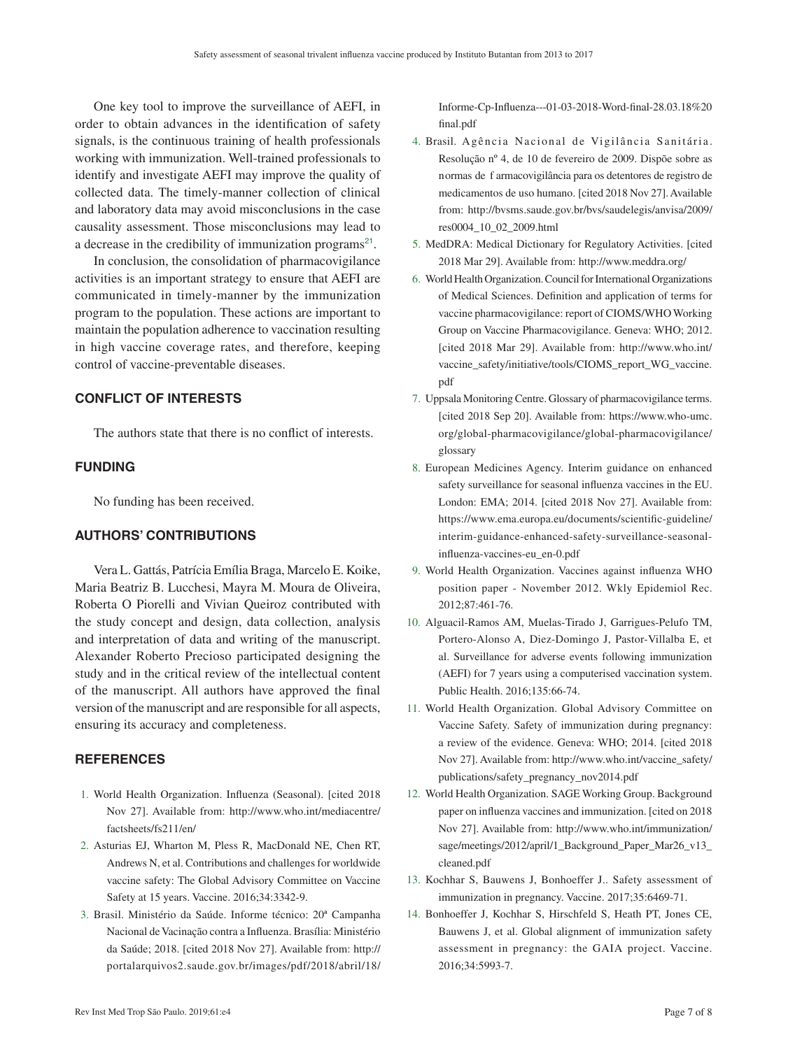<span id="page-6-0"></span>One key tool to improve the surveillance of AEFI, in order to obtain advances in the identification of safety signals, is the continuous training of health professionals working with immunization. Well-trained professionals to identify and investigate AEFI may improve the quality of collected data. The timely-manner collection of clinical and laboratory data may avoid misconclusions in the case causality assessment. Those misconclusions may lead to a decrease in the credibility of immunization programs<sup>[21](#page-7-0)</sup>.

<span id="page-6-1"></span>In conclusion, the consolidation of pharmacovigilance activities is an important strategy to ensure that AEFI are communicated in timely-manner by the immunization program to the population. These actions are important to maintain the population adherence to vaccination resulting in high vaccine coverage rates, and therefore, keeping control of vaccine-preventable diseases.

## **CONFLICT OF INTERESTS**

The authors state that there is no conflict of interests.

## **FUNDING**

No funding has been received.

# **AUTHORS' CONTRIBUTIONS**

Vera L. Gattás, Patrícia Emília Braga, Marcelo E. Koike, Maria Beatriz B. Lucchesi, Mayra M. Moura de Oliveira, Roberta O Piorelli and Vivian Queiroz contributed with the study concept and design, data collection, analysis and interpretation of data and writing of the manuscript. Alexander Roberto Precioso participated designing the study and in the critical review of the intellectual content of the manuscript. All authors have approved the final version of the manuscript and are responsible for all aspects, ensuring its accuracy and completeness.

## **REFERENCES**

- 1. [World Health Organization. Influenza \(Seasonal\). \[cited 2018](#page-0-0)  [Nov 27\]. Available from:](#page-0-0) [http://www.who.int/mediacentre/](http://www.who.int/mediacentre/factsheets/fs211/en/) [factsheets/fs211/en/](http://www.who.int/mediacentre/factsheets/fs211/en/)
- 2. [Asturias EJ, Wharton M, Pless R, MacDonald NE, Chen RT,](#page-1-0)  [Andrews N, et al. Contributions and challenges for worldwide](#page-1-0)  [vaccine safety: The Global Advisory Committee on Vaccine](#page-1-0)  [Safety at 15 years. Vaccine. 2016;34:3342-9.](#page-1-0)
- 3. [Brasil. Ministério da Saúde. Informe técnico: 20ª Campanha](#page-1-1)  [Nacional de Vacinação contra a Influenza. Brasília: Ministério](#page-1-1)  [da Saúde; 2018. \[cited 2018 Nov 27\]. Available from:](#page-1-1) [http://](http://portalarquivos2.saude.gov.br/images/pdf/2018/abril/18/Informe-Cp-Influenza---01-03-2018-Word-final-28.03.18%20final.pdf ) [portalarquivos2.saude.gov.br/images/pdf/2018/abril/18/](http://portalarquivos2.saude.gov.br/images/pdf/2018/abril/18/Informe-Cp-Influenza---01-03-2018-Word-final-28.03.18%20final.pdf )

[Informe-Cp-Influenza---01-03-2018-Word-final-28.03.18%20](http://portalarquivos2.saude.gov.br/images/pdf/2018/abril/18/Informe-Cp-Influenza---01-03-2018-Word-final-28.03.18%20final.pdf ) [final.pdf](http://portalarquivos2.saude.gov.br/images/pdf/2018/abril/18/Informe-Cp-Influenza---01-03-2018-Word-final-28.03.18%20final.pdf ) 

- 4. Brasil. Agência Nacional de Vigilância Sanitária. [Resolução nº 4, de 10 de fevereiro de 2009. Dispõe sobre as](#page-1-2)  [normas de f armacovigilância para os detentores de registro de](#page-1-2)  [medicamentos de uso humano. \[cited 2018 Nov 27\]. Available](#page-1-2)  [from:](#page-1-2) [http://bvsms.saude.gov.br/bvs/saudelegis/anvisa/2009/](http://bvsms.saude.gov.br/bvs/saudelegis/anvisa/2009/res0004_10_02_2009.html) [res0004\\_10\\_02\\_2009.html](http://bvsms.saude.gov.br/bvs/saudelegis/anvisa/2009/res0004_10_02_2009.html)
- 5. [MedDRA: Medical Dictionary for Regulatory Activities. \[cited](#page-1-3)  [2018 Mar 29\]. Available from](#page-1-3): <http://www.meddra.org/>
- 6. [World Health Organization. Council for International Organizations](#page-1-4)  [of Medical Sciences. Definition and application of terms for](#page-1-4)  [vaccine pharmacovigilance: report of CIOMS/WHO Working](#page-1-4)  [Group on Vaccine Pharmacovigilance. Geneva: WHO; 2012.](#page-1-4)  [\[cited 2018 Mar 29\]. Available from:](#page-1-4) [http://www.who.int/](http://www.who.int/vaccine_safety/initiative/tools/CIOMS_report_WG_vaccine.pdf) [vaccine\\_safety/initiative/tools/CIOMS\\_report\\_WG\\_vaccine.](http://www.who.int/vaccine_safety/initiative/tools/CIOMS_report_WG_vaccine.pdf) [pdf](http://www.who.int/vaccine_safety/initiative/tools/CIOMS_report_WG_vaccine.pdf)
- 7. [Uppsala Monitoring Centre. Glossary of pharmacovigilance terms.](#page-1-5)  [\[cited 2018 Sep 20\]. Available from:](#page-1-5) [https://www.who-umc.](https://www.who-umc.org/global-pharmacovigilance/global-pharmacovigilance/glossary) [org/global-pharmacovigilance/global-pharmacovigilance/](https://www.who-umc.org/global-pharmacovigilance/global-pharmacovigilance/glossary) [glossary](https://www.who-umc.org/global-pharmacovigilance/global-pharmacovigilance/glossary)
- 8. [European Medicines Agency. Interim guidance on enhanced](#page-2-0)  [safety surveillance for seasonal influenza vaccines in the EU.](#page-2-0)  [London: EMA; 2014. \[cited 2018 Nov 27\]. Available from:](#page-2-0)  [https://www.ema.europa.eu/documents/scientific-guideline/](https://www.ema.europa.eu/documents/scientific-guideline/interim-guidance-enhanced-safety-surveillance-seasonal-influenza-vaccines-eu_en-0.pdf) [interim-guidance-enhanced-safety-surveillance-seasonal](https://www.ema.europa.eu/documents/scientific-guideline/interim-guidance-enhanced-safety-surveillance-seasonal-influenza-vaccines-eu_en-0.pdf)[influenza-vaccines-eu\\_en-0.pdf](https://www.ema.europa.eu/documents/scientific-guideline/interim-guidance-enhanced-safety-surveillance-seasonal-influenza-vaccines-eu_en-0.pdf)
- 9. [World Health Organization. Vaccines against influenza WHO](#page-2-1)  [position paper - November 2012. Wkly Epidemiol Rec.](#page-2-1)  [2012;87:461-76.](#page-2-1)
- 10. [Alguacil-Ramos AM, Muelas-Tirado J, Garrigues-Pelufo TM,](#page-4-1)  [Portero-Alonso A, Diez-Domingo J, Pastor-Villalba E, et](#page-4-1)  [al. Surveillance for adverse events following immunization](#page-4-1)  [\(AEFI\) for 7 years using a computerised vaccination system.](#page-4-1)  [Public Health. 2016;135:66-74.](#page-4-1)
- 11. [World Health Organization. Global Advisory Committee on](#page-5-0)  [Vaccine Safety. Safety of immunization during pregnancy:](#page-5-0)  [a review of the evidence. Geneva: WHO; 2014. \[cited 2018](#page-5-0)  [Nov 27\]. Available from](#page-5-0): [http://www.who.int/vaccine\\_safety/](http://www.who.int/vaccine_safety/publications/safety_pregnancy_nov2014.pdf) [publications/safety\\_pregnancy\\_nov2014.pdf](http://www.who.int/vaccine_safety/publications/safety_pregnancy_nov2014.pdf)
- 12. [World Health Organization. SAGE Working Group. Background](#page-5-1)  [paper on influenza vaccines and immunization. \[cited on 2018](#page-5-1)  [Nov 27\]. Available from:](#page-5-1) [http://www.who.int/immunization/](http://www.who.int/immunization/sage/meetings/2012/april/1_Background_Paper_Mar26_v13_cleaned.pdf) [sage/meetings/2012/april/1\\_Background\\_Paper\\_Mar26\\_v13\\_](http://www.who.int/immunization/sage/meetings/2012/april/1_Background_Paper_Mar26_v13_cleaned.pdf) [cleaned.pdf](http://www.who.int/immunization/sage/meetings/2012/april/1_Background_Paper_Mar26_v13_cleaned.pdf)
- 13. [Kochhar S, Bauwens J, Bonhoeffer J.. Safety assessment of](#page-5-2)  [immunization in pregnancy. Vaccine. 2017;35:6469-71.](#page-5-2)
- 14. [Bonhoeffer J, Kochhar S, Hirschfeld S, Heath PT, Jones CE,](#page-5-3)  [Bauwens J, et al. Global alignment of immunization safety](#page-5-3)  [assessment in pregnancy: the GAIA project. Vaccine.](#page-5-3)  [2016;34:5993-7.](#page-5-3)